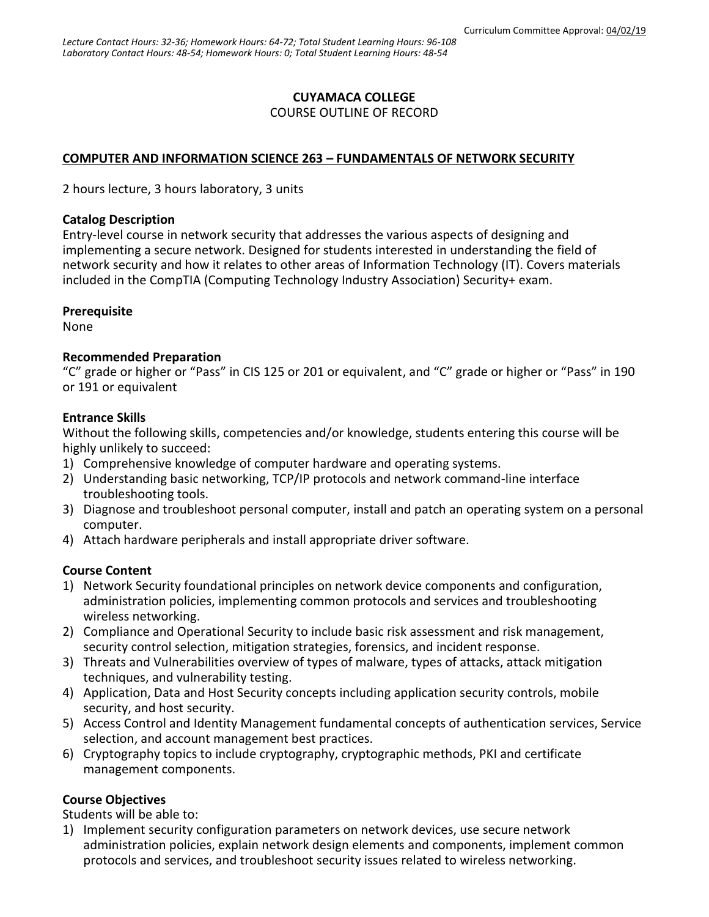### **CUYAMACA COLLEGE**

#### COURSE OUTLINE OF RECORD

### **COMPUTER AND INFORMATION SCIENCE 263 – FUNDAMENTALS OF NETWORK SECURITY**

2 hours lecture, 3 hours laboratory, 3 units

#### **Catalog Description**

Entry-level course in network security that addresses the various aspects of designing and implementing a secure network. Designed for students interested in understanding the field of network security and how it relates to other areas of Information Technology (IT). Covers materials included in the CompTIA (Computing Technology Industry Association) Security+ exam.

### **Prerequisite**

None

### **Recommended Preparation**

"C" grade or higher or "Pass" in CIS 125 or 201 or equivalent, and "C" grade or higher or "Pass" in 190 or 191 or equivalent

#### **Entrance Skills**

Without the following skills, competencies and/or knowledge, students entering this course will be highly unlikely to succeed:

- 1) Comprehensive knowledge of computer hardware and operating systems.
- 2) Understanding basic networking, TCP/IP protocols and network command-line interface troubleshooting tools.
- 3) Diagnose and troubleshoot personal computer, install and patch an operating system on a personal computer.
- 4) Attach hardware peripherals and install appropriate driver software.

### **Course Content**

- 1) Network Security foundational principles on network device components and configuration, administration policies, implementing common protocols and services and troubleshooting wireless networking.
- 2) Compliance and Operational Security to include basic risk assessment and risk management, security control selection, mitigation strategies, forensics, and incident response.
- 3) Threats and Vulnerabilities overview of types of malware, types of attacks, attack mitigation techniques, and vulnerability testing.
- 4) Application, Data and Host Security concepts including application security controls, mobile security, and host security.
- 5) Access Control and Identity Management fundamental concepts of authentication services, Service selection, and account management best practices.
- 6) Cryptography topics to include cryptography, cryptographic methods, PKI and certificate management components.

### **Course Objectives**

Students will be able to:

1) Implement security configuration parameters on network devices, use secure network administration policies, explain network design elements and components, implement common protocols and services, and troubleshoot security issues related to wireless networking.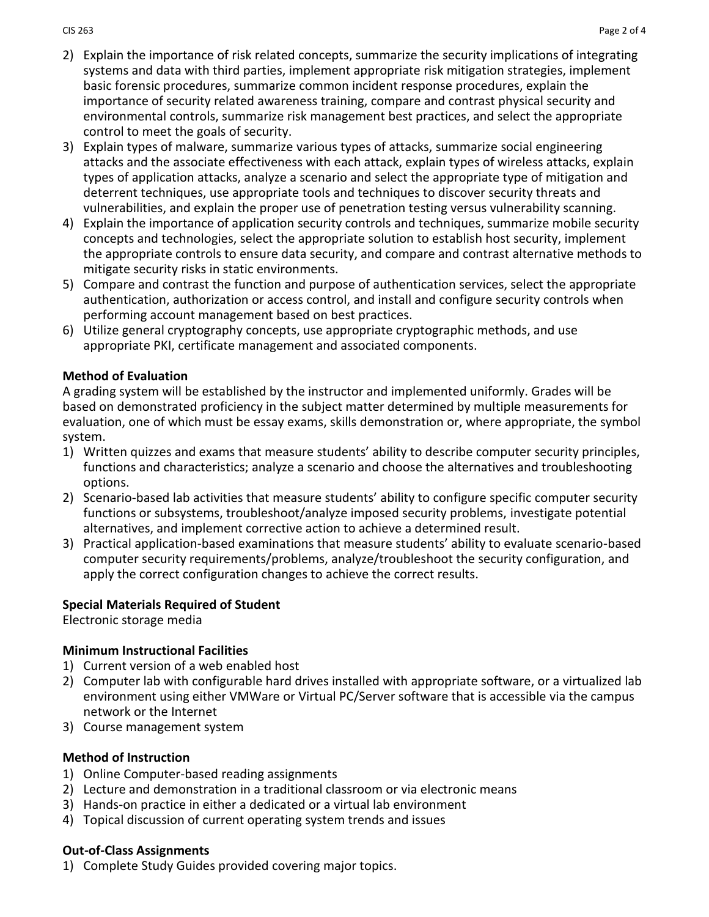- 2) Explain the importance of risk related concepts, summarize the security implications of integrating systems and data with third parties, implement appropriate risk mitigation strategies, implement basic forensic procedures, summarize common incident response procedures, explain the importance of security related awareness training, compare and contrast physical security and environmental controls, summarize risk management best practices, and select the appropriate control to meet the goals of security.
- 3) Explain types of malware, summarize various types of attacks, summarize social engineering attacks and the associate effectiveness with each attack, explain types of wireless attacks, explain types of application attacks, analyze a scenario and select the appropriate type of mitigation and deterrent techniques, use appropriate tools and techniques to discover security threats and vulnerabilities, and explain the proper use of penetration testing versus vulnerability scanning.
- 4) Explain the importance of application security controls and techniques, summarize mobile security concepts and technologies, select the appropriate solution to establish host security, implement the appropriate controls to ensure data security, and compare and contrast alternative methods to mitigate security risks in static environments.
- 5) Compare and contrast the function and purpose of authentication services, select the appropriate authentication, authorization or access control, and install and configure security controls when performing account management based on best practices.
- 6) Utilize general cryptography concepts, use appropriate cryptographic methods, and use appropriate PKI, certificate management and associated components.

### **Method of Evaluation**

A grading system will be established by the instructor and implemented uniformly. Grades will be based on demonstrated proficiency in the subject matter determined by multiple measurements for evaluation, one of which must be essay exams, skills demonstration or, where appropriate, the symbol system.

- 1) Written quizzes and exams that measure students' ability to describe computer security principles, functions and characteristics; analyze a scenario and choose the alternatives and troubleshooting options.
- 2) Scenario-based lab activities that measure students' ability to configure specific computer security functions or subsystems, troubleshoot/analyze imposed security problems, investigate potential alternatives, and implement corrective action to achieve a determined result.
- 3) Practical application-based examinations that measure students' ability to evaluate scenario-based computer security requirements/problems, analyze/troubleshoot the security configuration, and apply the correct configuration changes to achieve the correct results.

### **Special Materials Required of Student**

Electronic storage media

### **Minimum Instructional Facilities**

- 1) Current version of a web enabled host
- 2) Computer lab with configurable hard drives installed with appropriate software, or a virtualized lab environment using either VMWare or Virtual PC/Server software that is accessible via the campus network or the Internet
- 3) Course management system

# **Method of Instruction**

- 1) Online Computer-based reading assignments
- 2) Lecture and demonstration in a traditional classroom or via electronic means
- 3) Hands-on practice in either a dedicated or a virtual lab environment
- 4) Topical discussion of current operating system trends and issues

# **Out-of-Class Assignments**

1) Complete Study Guides provided covering major topics.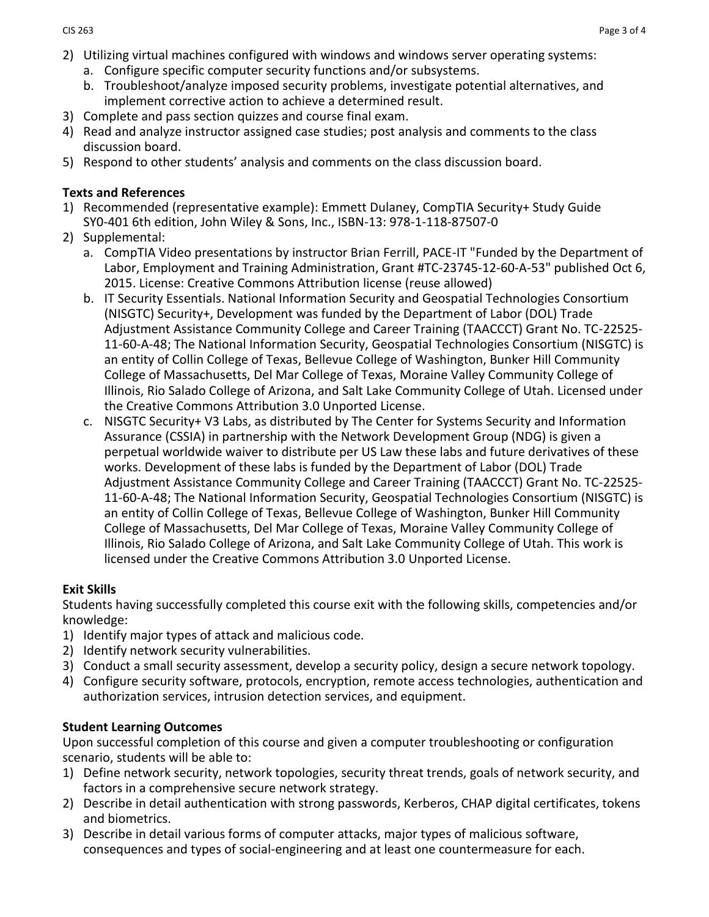- 2) Utilizing virtual machines configured with windows and windows server operating systems:
	- a. Configure specific computer security functions and/or subsystems.
	- b. Troubleshoot/analyze imposed security problems, investigate potential alternatives, and implement corrective action to achieve a determined result.
- 3) Complete and pass section quizzes and course final exam.
- 4) Read and analyze instructor assigned case studies; post analysis and comments to the class discussion board.
- 5) Respond to other students' analysis and comments on the class discussion board.

### **Texts and References**

- 1) Recommended (representative example): Emmett Dulaney, CompTIA Security+ Study Guide SY0-401 6th edition, John Wiley & Sons, Inc., ISBN-13: 978-1-118-87507-0
- 2) Supplemental:
	- a. CompTIA Video presentations by instructor Brian Ferrill, PACE-IT "Funded by the Department of Labor, Employment and Training Administration, Grant [#TC-](https://www.youtube.com/results?q=%23TC)23745-12-60-A-53" published Oct 6, 2015. License: [Creative Commons Attribution license \(reuse allowed\)](https://www.youtube.com/t/creative_commons)
	- b. IT Security Essentials. National Information Security and Geospatial Technologies Consortium (NISGTC) Security+, Development was funded by the Department of Labor (DOL) Trade Adjustment Assistance Community College and Career Training (TAACCCT) Grant No. TC-22525- 11-60-A-48; The National Information Security, Geospatial Technologies Consortium (NISGTC) is an entity of Collin College of Texas, Bellevue College of Washington, Bunker Hill Community College of Massachusetts, Del Mar College of Texas, Moraine Valley Community College of Illinois, Rio Salado College of Arizona, and Salt Lake Community College of Utah. Licensed under the Creative Commons Attribution 3.0 Unported License.
	- c. NISGTC Security+ V3 Labs, as distributed by The Center for Systems Security and Information Assurance (CSSIA) in partnership with the Network Development Group (NDG) is given a perpetual worldwide waiver to distribute per US Law these labs and future derivatives of these works. Development of these labs is funded by the Department of Labor (DOL) Trade Adjustment Assistance Community College and Career Training (TAACCCT) Grant No. TC-22525- 11-60-A-48; The National Information Security, Geospatial Technologies Consortium (NISGTC) is an entity of Collin College of Texas, Bellevue College of Washington, Bunker Hill Community College of Massachusetts, Del Mar College of Texas, Moraine Valley Community College of Illinois, Rio Salado College of Arizona, and Salt Lake Community College of Utah. This work is licensed under the Creative Commons Attribution 3.0 Unported License.

# **Exit Skills**

Students having successfully completed this course exit with the following skills, competencies and/or knowledge:

- 1) Identify major types of attack and malicious code.
- 2) Identify network security vulnerabilities.
- 3) Conduct a small security assessment, develop a security policy, design a secure network topology.
- 4) Configure security software, protocols, encryption, remote access technologies, authentication and authorization services, intrusion detection services, and equipment.

# **Student Learning Outcomes**

Upon successful completion of this course and given a computer troubleshooting or configuration scenario, students will be able to:

- 1) Define network security, network topologies, security threat trends, goals of network security, and factors in a comprehensive secure network strategy.
- 2) Describe in detail authentication with strong passwords, Kerberos, CHAP digital certificates, tokens and biometrics.
- 3) Describe in detail various forms of computer attacks, major types of malicious software, consequences and types of social-engineering and at least one countermeasure for each.